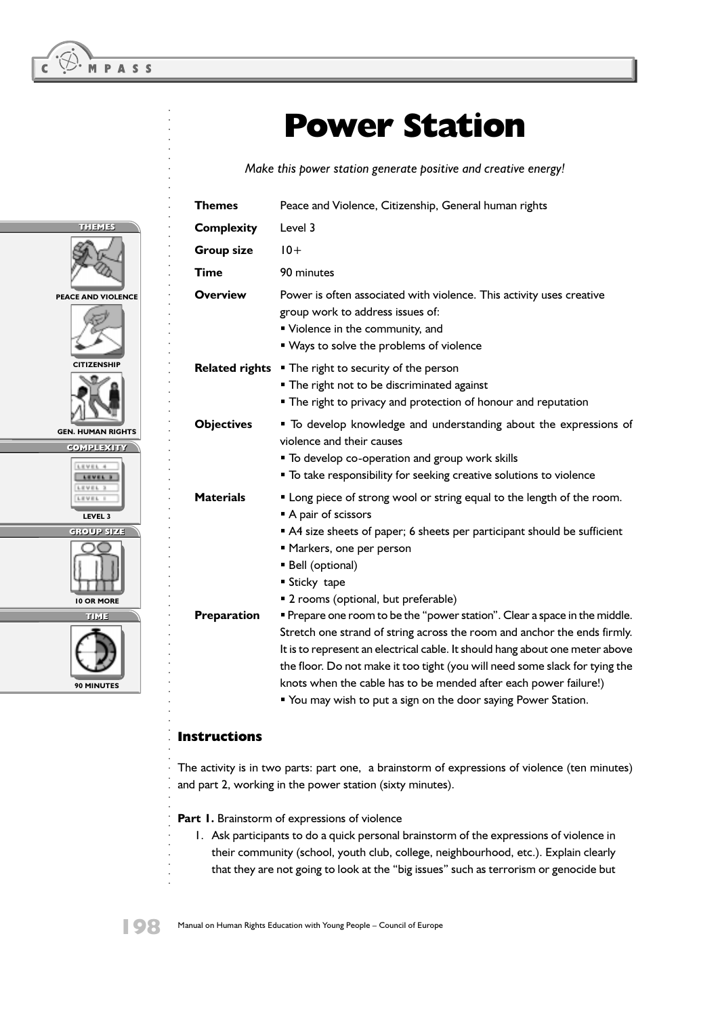# Power Station

| <b>Themes</b>       | Peace and Violence, Citizenship, General human rights                                                                                                                                                                                                                                                                                                                                                                                                       |
|---------------------|-------------------------------------------------------------------------------------------------------------------------------------------------------------------------------------------------------------------------------------------------------------------------------------------------------------------------------------------------------------------------------------------------------------------------------------------------------------|
| <b>Complexity</b>   | Level 3                                                                                                                                                                                                                                                                                                                                                                                                                                                     |
| <b>Group size</b>   | $10+$                                                                                                                                                                                                                                                                                                                                                                                                                                                       |
| <b>Time</b>         | 90 minutes                                                                                                                                                                                                                                                                                                                                                                                                                                                  |
| <b>Overview</b>     | Power is often associated with violence. This activity uses creative<br>group work to address issues of:<br>" Violence in the community, and<br>" Ways to solve the problems of violence                                                                                                                                                                                                                                                                    |
|                     | Related rights " The right to security of the person<br>" The right not to be discriminated against<br>• The right to privacy and protection of honour and reputation                                                                                                                                                                                                                                                                                       |
| <b>Objectives</b>   | " To develop knowledge and understanding about the expressions of<br>violence and their causes<br>" To develop co-operation and group work skills<br>" To take responsibility for seeking creative solutions to violence                                                                                                                                                                                                                                    |
| <b>Materials</b>    | " Long piece of strong wool or string equal to the length of the room.<br>A pair of scissors<br>A4 size sheets of paper; 6 sheets per participant should be sufficient<br>" Markers, one per person<br><b>Bell (optional)</b><br><b>Sticky tape</b><br>" 2 rooms (optional, but preferable)                                                                                                                                                                 |
| Preparation         | " Prepare one room to be the "power station". Clear a space in the middle.<br>Stretch one strand of string across the room and anchor the ends firmly.<br>It is to represent an electrical cable. It should hang about one meter above<br>the floor. Do not make it too tight (you will need some slack for tying the<br>knots when the cable has to be mended after each power failure!)<br>" You may wish to put a sign on the door saying Power Station. |
| <b>Instructions</b> |                                                                                                                                                                                                                                                                                                                                                                                                                                                             |
|                     | The activity is in two parts: part one, a brainstorm of expressions of violence (ten minutes)<br>and part 2, working in the power station (sixty minutes).                                                                                                                                                                                                                                                                                                  |

# Instructions



THEMES

MPASS

 $\mathbf C$ 

GROUP SIZE GROUP SIZE

10 OR MORE

TIME TIME

90 MINUTES

LEVEL 3

**COMPLEXITY** 

LEVEL 4  $L$ EVEL 3 LEVEL 3 LEVEL 1

GEN. HUMAN RIGHTS

**CITIZENSHIP** 

PEACE AND VIOLENCE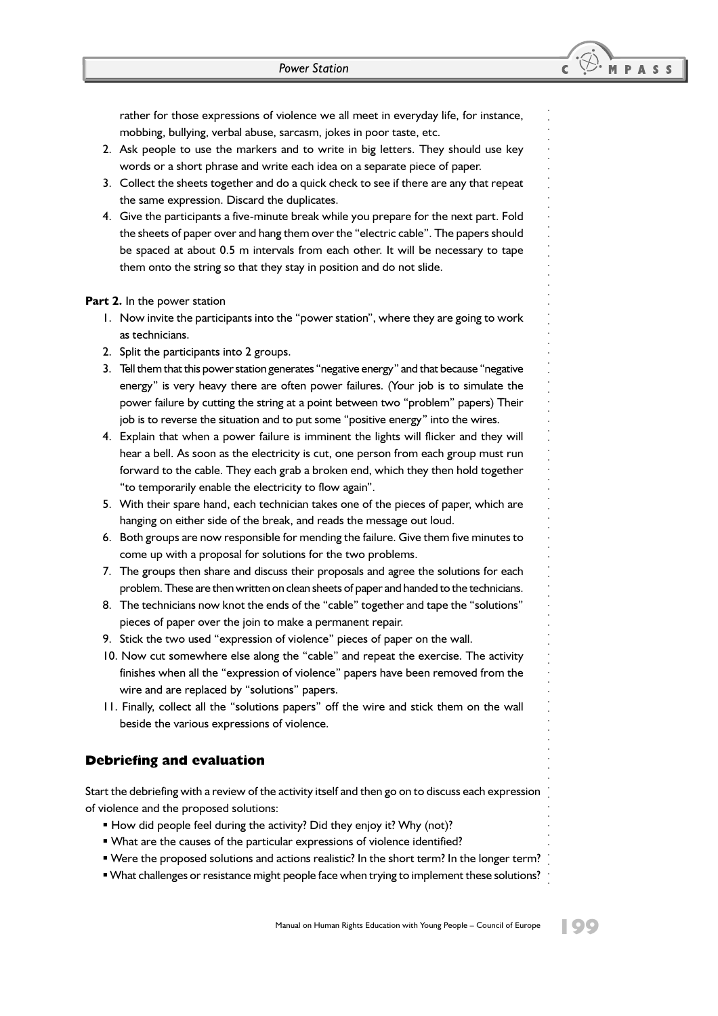rather for those expressions of violence we all meet in everyday life, for instance, mobbing, bullying, verbal abuse, sarcasm, jokes in poor taste, etc.

- 2. Ask people to use the markers and to write in big letters. They should use key words or a short phrase and write each idea on a separate piece of paper.
- 3. Collect the sheets together and do a quick check to see if there are any that repeat the same expression. Discard the duplicates.
- 4. Give the participants a five-minute break while you prepare for the next part. Fold the sheets of paper over and hang them over the "electric cable". The papers should be spaced at about 0.5 m intervals from each other. It will be necessary to tape them onto the string so that they stay in position and do not slide.

### Part 2. In the power station

- 1. Now invite the participants into the "power station", where they are going to work as technicians.
- 2. Split the participants into 2 groups.
- violence wall meet in everyday life, for instance,<br>sarcasm, lokes in poor taste, etc.<br>They should use key<br>de a quick check to see if there are any that repeat<br>the abad dos on a separate piece of paper.<br>They are do a quick 3. Tell them that this power station generates "negative energy" and that because "negative energy" is very heavy there are often power failures. (Your job is to simulate the power failure by cutting the string at a point between two "problem" papers) Their job is to reverse the situation and to put some "positive energy" into the wires.
- 4. Explain that when a power failure is imminent the lights will flicker and they will hear a bell. As soon as the electricity is cut, one person from each group must run forward to the cable. They each grab a broken end, which they then hold together "to temporarily enable the electricity to flow again".
- 5. With their spare hand, each technician takes one of the pieces of paper, which are hanging on either side of the break, and reads the message out loud.
- 6. Both groups are now responsible for mending the failure. Give them five minutes to come up with a proposal for solutions for the two problems.
- 7. The groups then share and discuss their proposals and agree the solutions for each problem. These are then written on clean sheets of paper and handed to the technicians.
- 8. The technicians now knot the ends of the "cable" together and tape the "solutions" pieces of paper over the join to make a permanent repair.
- 9. Stick the two used "expression of violence" pieces of paper on the wall.
- 10. Now cut somewhere else along the "cable" and repeat the exercise. The activity finishes when all the "expression of violence" papers have been removed from the wire and are replaced by "solutions" papers.
- 11. Finally, collect all the "solutions papers" off the wire and stick them on the wall beside the various expressions of violence.

## Debriefing and evaluation

Start the debriefing with a review of the activity itself and then go on to discuss each expression of violence and the proposed solutions:

- How did people feel during the activity? Did they enjoy it? Why (not)?
- § What are the causes of the particular expressions of violence identified?
- § Were the proposed solutions and actions realistic? In the short term? In the longer term?
- § What challenges or resistance might people face when trying to implement these solutions?